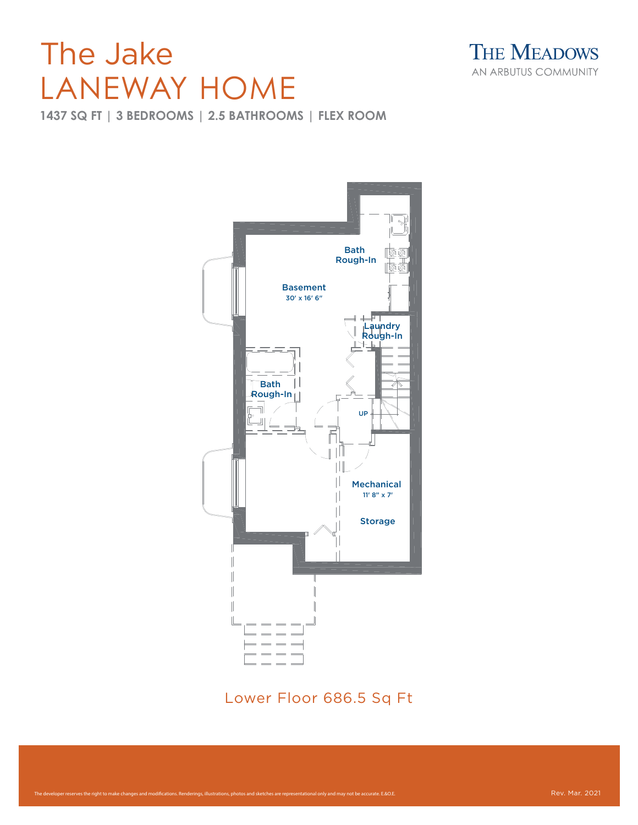## LANEWAY HOME

**THE MEADOWS** AN ARBUTUS COMMUNITY

**1437 SQ FT | 3 BEDROOMS | 2.5 BATHROOMS | FLEX ROOM**



Lower Floor 686.5 Sq Ft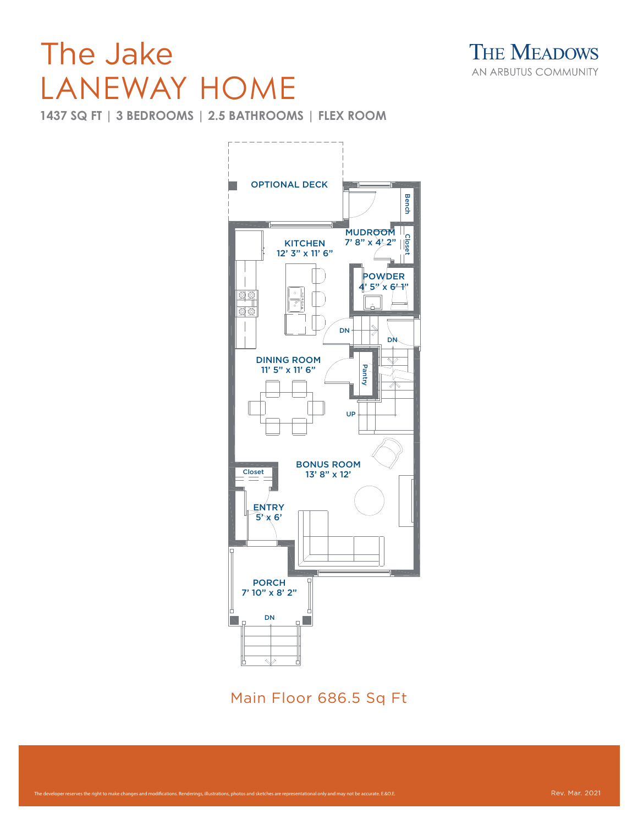## The Jake LANEWAY HOME

**1437 SQ FT | 3 BEDROOMS | 2.5 BATHROOMS | FLEX ROOM**



Main Floor 686.5 Sq Ft